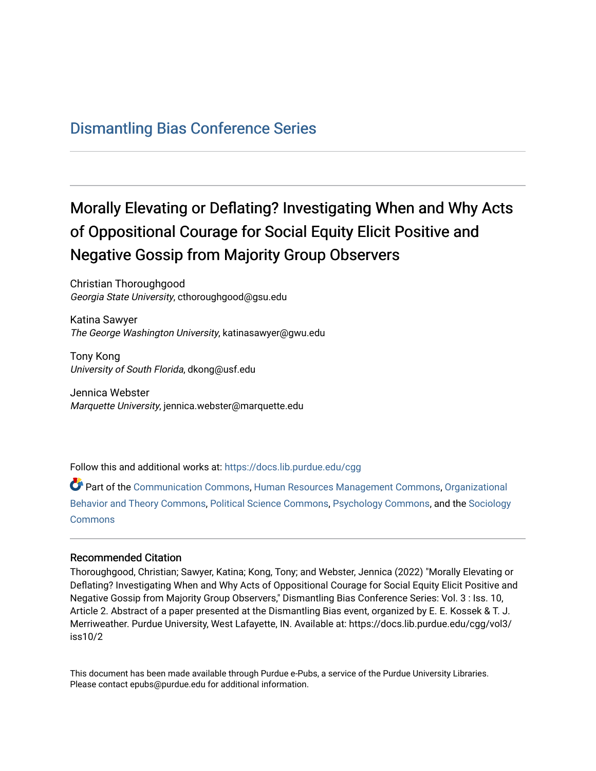# [Dismantling Bias Conference Series](https://docs.lib.purdue.edu/cgg)

# Morally Elevating or Deflating? Investigating When and Why Acts of Oppositional Courage for Social Equity Elicit Positive and Negative Gossip from Majority Group Observers

Christian Thoroughgood Georgia State University, cthoroughgood@gsu.edu

Katina Sawyer The George Washington University, katinasawyer@gwu.edu

Tony Kong University of South Florida, dkong@usf.edu

Jennica Webster Marquette University, jennica.webster@marquette.edu

Follow this and additional works at: [https://docs.lib.purdue.edu/cgg](https://docs.lib.purdue.edu/cgg?utm_source=docs.lib.purdue.edu%2Fcgg%2Fvol3%2Fiss10%2F2&utm_medium=PDF&utm_campaign=PDFCoverPages)

Part of the [Communication Commons,](https://network.bepress.com/hgg/discipline/325?utm_source=docs.lib.purdue.edu%2Fcgg%2Fvol3%2Fiss10%2F2&utm_medium=PDF&utm_campaign=PDFCoverPages) [Human Resources Management Commons,](https://network.bepress.com/hgg/discipline/633?utm_source=docs.lib.purdue.edu%2Fcgg%2Fvol3%2Fiss10%2F2&utm_medium=PDF&utm_campaign=PDFCoverPages) [Organizational](https://network.bepress.com/hgg/discipline/639?utm_source=docs.lib.purdue.edu%2Fcgg%2Fvol3%2Fiss10%2F2&utm_medium=PDF&utm_campaign=PDFCoverPages) [Behavior and Theory Commons,](https://network.bepress.com/hgg/discipline/639?utm_source=docs.lib.purdue.edu%2Fcgg%2Fvol3%2Fiss10%2F2&utm_medium=PDF&utm_campaign=PDFCoverPages) [Political Science Commons,](https://network.bepress.com/hgg/discipline/386?utm_source=docs.lib.purdue.edu%2Fcgg%2Fvol3%2Fiss10%2F2&utm_medium=PDF&utm_campaign=PDFCoverPages) [Psychology Commons,](https://network.bepress.com/hgg/discipline/404?utm_source=docs.lib.purdue.edu%2Fcgg%2Fvol3%2Fiss10%2F2&utm_medium=PDF&utm_campaign=PDFCoverPages) and the [Sociology](https://network.bepress.com/hgg/discipline/416?utm_source=docs.lib.purdue.edu%2Fcgg%2Fvol3%2Fiss10%2F2&utm_medium=PDF&utm_campaign=PDFCoverPages) [Commons](https://network.bepress.com/hgg/discipline/416?utm_source=docs.lib.purdue.edu%2Fcgg%2Fvol3%2Fiss10%2F2&utm_medium=PDF&utm_campaign=PDFCoverPages)

#### Recommended Citation

Thoroughgood, Christian; Sawyer, Katina; Kong, Tony; and Webster, Jennica (2022) "Morally Elevating or Deflating? Investigating When and Why Acts of Oppositional Courage for Social Equity Elicit Positive and Negative Gossip from Majority Group Observers," Dismantling Bias Conference Series: Vol. 3 : Iss. 10, Article 2. Abstract of a paper presented at the Dismantling Bias event, organized by E. E. Kossek & T. J. Merriweather. Purdue University, West Lafayette, IN. Available at: https://docs.lib.purdue.edu/cgg/vol3/ iss10/2

This document has been made available through Purdue e-Pubs, a service of the Purdue University Libraries. Please contact epubs@purdue.edu for additional information.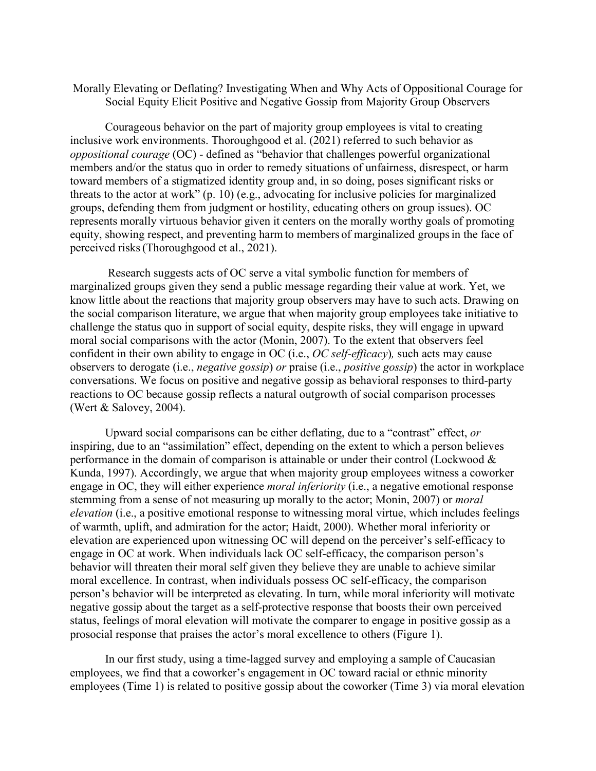### Morally Elevating or Deflating? Investigating When and Why Acts of Oppositional Courage for Social Equity Elicit Positive and Negative Gossip from Majority Group Observers

 *oppositional courage* (OC) - defined as "behavior that challenges powerful organizational perceived risks (Thoroughgood et al., 2021). Courageous behavior on the part of majority group employees is vital to creating inclusive work environments. Thoroughgood et al. (2021) referred to such behavior as members and/or the status quo in order to remedy situations of unfairness, disrespect, or harm toward members of a stigmatized identity group and, in so doing, poses significant risks or threats to the actor at work" (p. 10) (e.g., advocating for inclusive policies for marginalized groups, defending them from judgment or hostility, educating others on group issues). OC represents morally virtuous behavior given it centers on the morally worthy goals of promoting equity, showing respect, and preventing harm to members of marginalized groups in the face of

 moral social comparisons with the actor (Monin, 2007). To the extent that observers feel Research suggests acts of OC serve a vital symbolic function for members of marginalized groups given they send a public message regarding their value at work. Yet, we know little about the reactions that majority group observers may have to such acts. Drawing on the social comparison literature, we argue that when majority group employees take initiative to challenge the status quo in support of social equity, despite risks, they will engage in upward confident in their own ability to engage in OC (i.e., *OC self-efficacy*)*,* such acts may cause observers to derogate (i.e., *negative gossip*) *or* praise (i.e., *positive gossip*) the actor in workplace conversations. We focus on positive and negative gossip as behavioral responses to third-party reactions to OC because gossip reflects a natural outgrowth of social comparison processes (Wert & Salovey, 2004).

 behavior will threaten their moral self given they believe they are unable to achieve similar person's behavior will be interpreted as elevating. In turn, while moral inferiority will motivate Upward social comparisons can be either deflating, due to a "contrast" effect, *or*  inspiring, due to an "assimilation" effect, depending on the extent to which a person believes performance in the domain of comparison is attainable or under their control (Lockwood & Kunda, 1997). Accordingly, we argue that when majority group employees witness a coworker engage in OC, they will either experience *moral inferiority* (i.e., a negative emotional response stemming from a sense of not measuring up morally to the actor; Monin, 2007) or *moral elevation* (i.e., a positive emotional response to witnessing moral virtue, which includes feelings of warmth, uplift, and admiration for the actor; Haidt, 2000). Whether moral inferiority or elevation are experienced upon witnessing OC will depend on the perceiver's self-efficacy to engage in OC at work. When individuals lack OC self-efficacy, the comparison person's moral excellence. In contrast, when individuals possess OC self-efficacy, the comparison negative gossip about the target as a self-protective response that boosts their own perceived status, feelings of moral elevation will motivate the comparer to engage in positive gossip as a prosocial response that praises the actor's moral excellence to others (Figure 1).

In our first study, using a time-lagged survey and employing a sample of Caucasian employees, we find that a coworker's engagement in OC toward racial or ethnic minority employees (Time 1) is related to positive gossip about the coworker (Time 3) via moral elevation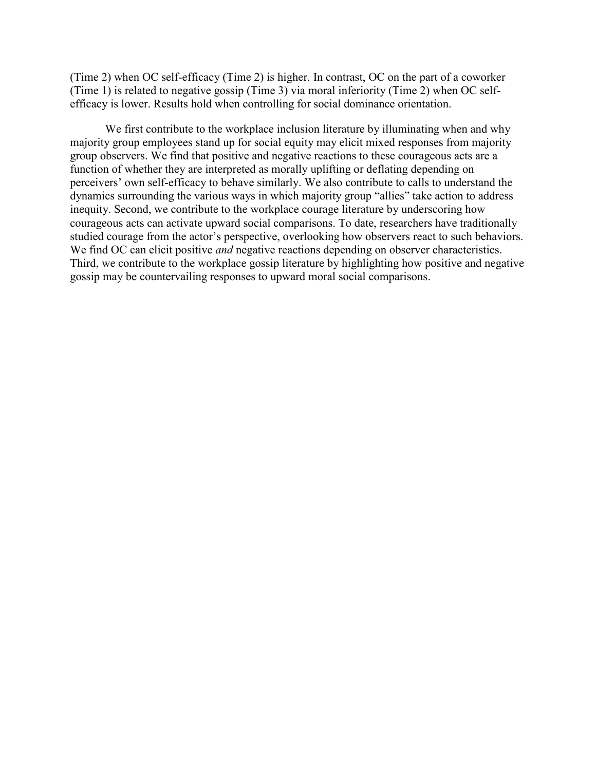(Time 2) when OC self-efficacy (Time 2) is higher. In contrast, OC on the part of a coworker (Time 1) is related to negative gossip (Time 3) via moral inferiority (Time 2) when OC selfefficacy is lower. Results hold when controlling for social dominance orientation.

 group observers. We find that positive and negative reactions to these courageous acts are a studied courage from the actor's perspective, overlooking how observers react to such behaviors. We find OC can elicit positive *and* negative reactions depending on observer characteristics. We first contribute to the workplace inclusion literature by illuminating when and why majority group employees stand up for social equity may elicit mixed responses from majority function of whether they are interpreted as morally uplifting or deflating depending on perceivers' own self-efficacy to behave similarly. We also contribute to calls to understand the dynamics surrounding the various ways in which majority group "allies" take action to address inequity. Second, we contribute to the workplace courage literature by underscoring how courageous acts can activate upward social comparisons. To date, researchers have traditionally Third, we contribute to the workplace gossip literature by highlighting how positive and negative gossip may be countervailing responses to upward moral social comparisons.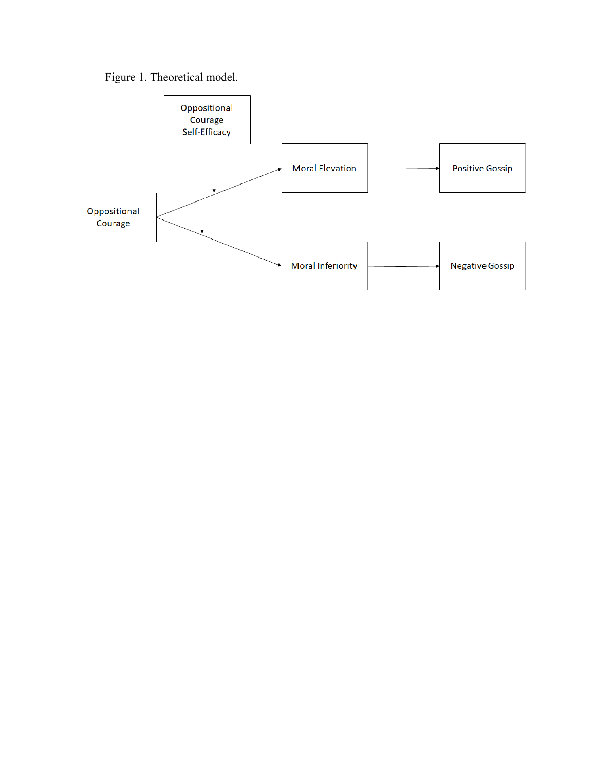